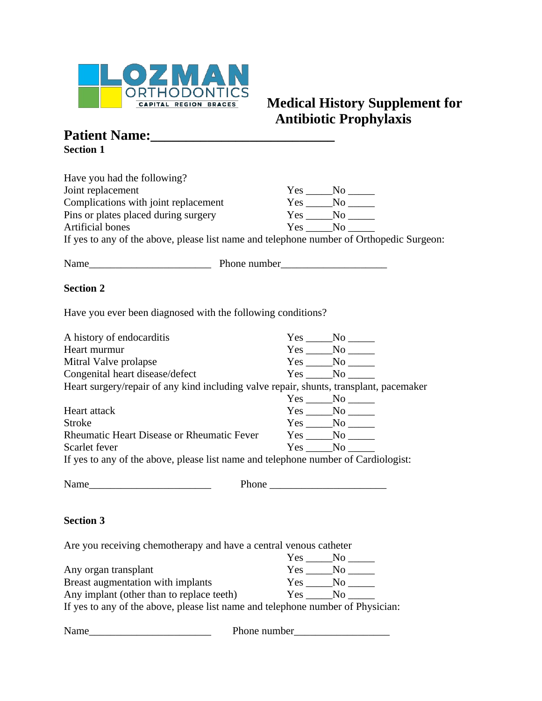

## **Antibiotic Prophylaxis**

## **Patient Name:\_\_\_\_\_\_\_\_\_\_\_\_\_\_\_\_\_\_\_\_\_\_\_\_\_\_ Section 1**

| Have you had the following?                                                              |                   |
|------------------------------------------------------------------------------------------|-------------------|
| Joint replacement                                                                        |                   |
| Complications with joint replacement                                                     |                   |
| Pins or plates placed during surgery                                                     | $Yes$ No $\_\_$   |
| <b>Artificial bones</b>                                                                  |                   |
| If yes to any of the above, please list name and telephone number of Orthopedic Surgeon: |                   |
|                                                                                          |                   |
| <b>Section 2</b>                                                                         |                   |
| Have you ever been diagnosed with the following conditions?                              |                   |
| A history of endocarditis                                                                |                   |
| Heart murmur                                                                             |                   |
| Mitral Valve prolapse                                                                    |                   |
| Congenital heart disease/defect                                                          | $Yes$ No $N$      |
| Heart surgery/repair of any kind including valve repair, shunts, transplant, pacemaker   |                   |
|                                                                                          | $Yes$ No $\_\_$   |
| Heart attack                                                                             | $Yes$ No $\_\_$   |
| <b>Stroke</b>                                                                            |                   |
| Rheumatic Heart Disease or Rheumatic Fever                                               | $Yes$ No $\_\_$   |
| Scarlet fever                                                                            |                   |
| If yes to any of the above, please list name and telephone number of Cardiologist:       |                   |
| Name                                                                                     |                   |
| <b>Section 3</b>                                                                         |                   |
| Are you receiving chemotherapy and have a central venous catheter                        |                   |
|                                                                                          | $Yes$ No $\qquad$ |
| Any organ transplant                                                                     | $Yes \_\_No \_\_$ |
| Breast augmentation with implants                                                        | $Yes$ No $\_\_$   |
| Any implant (other than to replace teeth)                                                | $Yes$ No $\_\_$   |
| If yes to any of the above, please list name and telephone number of Physician:          |                   |
| Name                                                                                     |                   |